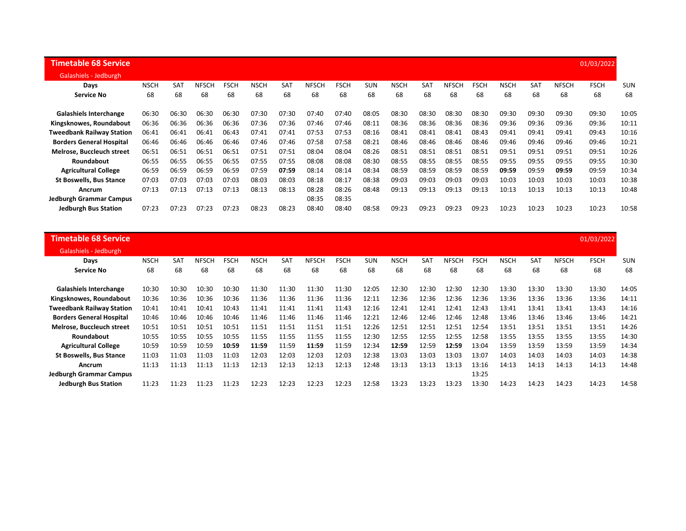| Timetable 68 Service             |             |            |              |             |             |       |       |             |            |             |            |              |             |             |            |              | 01/03/2022  |            |
|----------------------------------|-------------|------------|--------------|-------------|-------------|-------|-------|-------------|------------|-------------|------------|--------------|-------------|-------------|------------|--------------|-------------|------------|
| Galashiels - Jedburgh            |             |            |              |             |             |       |       |             |            |             |            |              |             |             |            |              |             |            |
| Days                             | <b>NSCH</b> | <b>SAT</b> | <b>NFSCH</b> | <b>FSCH</b> | <b>NSCH</b> | SAT   | NFSCH | <b>FSCH</b> | <b>SUN</b> | <b>NSCH</b> | <b>SAT</b> | <b>NFSCH</b> | <b>FSCH</b> | <b>NSCH</b> | <b>SAT</b> | <b>NFSCH</b> | <b>FSCH</b> | <b>SUN</b> |
| <b>Service No</b>                | 68          | 68         | 68           | 68          | 68          | 68    | 68    | 68          | 68         | 68          | 68         | 68           | 68          | 68          | 68         | 68           | 68          | 68         |
| <b>Galashiels Interchange</b>    | 06:30       | 06:30      | 06:30        | 06:30       | 07:30       | 07:30 | 07:40 | 07:40       | 08:05      | 08:30       | 08:30      | 08:30        | 08:30       | 09:30       | 09:30      | 09:30        | 09:30       | 10:05      |
| Kingsknowes, Roundabout          | 06:36       | 06:36      | 06:36        | 06:36       | 07:36       | 07:36 | 07:46 | 07:46       | 08:11      | 08:36       | 08:36      | 08:36        | 08:36       | 09:36       | 09:36      | 09:36        | 09:36       | 10:11      |
| <b>Tweedbank Railway Station</b> | 06:41       | 06:41      | 06:41        | 06:43       | 07:41       | 07:41 | 07:53 | 07:53       | 08:16      | 08:41       | 08:41      | 08:41        | 08:43       | 09:41       | 09:41      | 09:41        | 09:43       | 10:16      |
| <b>Borders General Hospital</b>  | 06:46       | 06:46      | 06:46        | 06:46       | 07:46       | 07:46 | 07:58 | 07:58       | 08:21      | 08:46       | 08:46      | 08:46        | 08:46       | 09:46       | 09:46      | 09:46        | 09:46       | 10:21      |
| Melrose, Buccleuch street        | 06:51       | 06:51      | 06:51        | 06:51       | 07:51       | 07:51 | 08:04 | 08:04       | 08:26      | 08:51       | 08:51      | 08:51        | 08:51       | 09:51       | 09:51      | 09:51        | 09:51       | 10:26      |
| Roundabout                       | 06:55       | 06:55      | 06:55        | 06:55       | 07:55       | 07:55 | 08:08 | 08:08       | 08:30      | 08:55       | 08:55      | 08:55        | 08:55       | 09:55       | 09:55      | 09:55        | 09:55       | 10:30      |
| <b>Agricultural College</b>      | 06:59       | 06:59      | 06:59        | 06:59       | 07:59       | 07:59 | 08:14 | 08:14       | 08:34      | 08:59       | 08:59      | 08:59        | 08:59       | 09:59       | 09:59      | 09:59        | 09:59       | 10:34      |
| <b>St Boswells, Bus Stance</b>   | 07:03       | 07:03      | 07:03        | 07:03       | 08:03       | 08:03 | 08:18 | 08:17       | 08:38      | 09:03       | 09:03      | 09:03        | 09:03       | 10:03       | 10:03      | 10:03        | 10:03       | 10:38      |
| Ancrum                           | 07:13       | 07:13      | 07:13        | 07:13       | 08:13       | 08:13 | 08:28 | 08:26       | 08:48      | 09:13       | 09:13      | 09:13        | 09:13       | 10:13       | 10:13      | 10:13        | 10:13       | 10:48      |
| <b>Jedburgh Grammar Campus</b>   |             |            |              |             |             |       | 08:35 | 08:35       |            |             |            |              |             |             |            |              |             |            |
| <b>Jedburgh Bus Station</b>      | 07:23       | 07:23      | 07:23        | 07:23       | 08:23       | 08:23 | 08:40 | 08:40       | 08:58      | 09:23       | 09:23      | 09:23        | 09:23       | 10:23       | 10:23      | 10:23        | 10:23       | 10:58      |

| <b>Timetable 68 Service</b>      |             |            |              |             |             |            |       |             |            |             |            |              |             |             |            |              | 01/03/2022  |            |
|----------------------------------|-------------|------------|--------------|-------------|-------------|------------|-------|-------------|------------|-------------|------------|--------------|-------------|-------------|------------|--------------|-------------|------------|
| Galashiels - Jedburgh            |             |            |              |             |             |            |       |             |            |             |            |              |             |             |            |              |             |            |
| Days                             | <b>NSCH</b> | <b>SAT</b> | <b>NFSCH</b> | <b>FSCH</b> | <b>NSCH</b> | <b>SAT</b> | NFSCH | <b>FSCH</b> | <b>SUN</b> | <b>NSCH</b> | <b>SAT</b> | <b>NFSCH</b> | <b>FSCH</b> | <b>NSCH</b> | <b>SAT</b> | <b>NFSCH</b> | <b>FSCH</b> | <b>SUN</b> |
| <b>Service No</b>                | 68          | 68         | 68           | 68          | 68          | 68         | 68    | 68          | 68         | 68          | 68         | 68           | 68          | 68          | 68         | 68           | 68          | 68         |
| <b>Galashiels Interchange</b>    | 10:30       | 10:30      | 10:30        | 10:30       | 11:30       | 11:30      | 11:30 | 11:30       | 12:05      | 12:30       | 12:30      | 12:30        | 12:30       | 13:30       | 13:30      | 13:30        | 13:30       | 14:05      |
| Kingsknowes, Roundabout          | 10:36       | 10:36      | 10:36        | 10:36       | 11:36       | 11:36      | 11:36 | 11:36       | 12:11      | 12:36       | 12:36      | 12:36        | 12:36       | 13:36       | 13:36      | 13:36        | 13:36       | 14:11      |
| <b>Tweedbank Railway Station</b> | 10:41       | 10:41      | 10:41        | 10:43       | 11:41       | 11:41      | 11:41 | 11:43       | 12:16      | 12:41       | 12:41      | 12:41        | 12:43       | 13:41       | 13:41      | 13:41        | 13:43       | 14:16      |
| <b>Borders General Hospital</b>  | 10:46       | 10:46      | 10:46        | 10:46       | 11:46       | 11:46      | 11:46 | 11:46       | 12:21      | 12:46       | 12:46      | 12:46        | 12:48       | 13:46       | 13:46      | 13:46        | 13:46       | 14:21      |
| Melrose, Buccleuch street        | 10:51       | 10:51      | 10:51        | 10:51       | 11:51       | 11:51      | 11:51 | 11:51       | 12:26      | 12:51       | 12:51      | 12:51        | 12:54       | 13:51       | 13:51      | 13:51        | 13:51       | 14:26      |
| Roundabout                       | 10:55       | 10:55      | 10:55        | 10:55       | 11:55       | 11:55      | 11:55 | 11:55       | 12:30      | 12:55       | 12:55      | 12:55        | 12:58       | 13:55       | 13:55      | 13:55        | 13:55       | 14:30      |
| <b>Agricultural College</b>      | 10:59       | 10:59      | 10:59        | 10:59       | 11:59       | 11:59      | 11:59 | 11:59       | 12:34      | 12:59       | 12:59      | 12:59        | 13:04       | 13:59       | 13:59      | 13:59        | 13:59       | 14:34      |
| <b>St Boswells, Bus Stance</b>   | 11:03       | 11:03      | 11:03        | 11:03       | 12:03       | 12:03      | 12:03 | 12:03       | 12:38      | 13:03       | 13:03      | 13:03        | 13:07       | 14:03       | 14:03      | 14:03        | 14:03       | 14:38      |
| Ancrum                           | 11:13       | 11:13      | 11:13        | 11:13       | 12:13       | 12:13      | 12:13 | 12:13       | 12:48      | 13:13       | 13:13      | 13:13        | 13:16       | 14:13       | 14:13      | 14:13        | 14:13       | 14:48      |
| Jedburgh Grammar Campus          |             |            |              |             |             |            |       |             |            |             |            |              | 13:25       |             |            |              |             |            |
| <b>Jedburgh Bus Station</b>      | 11:23       | 11:23      | 11:23        | 11:23       | 12:23       | 12:23      | 12:23 | 12:23       | 12:58      | 13:23       | 13:23      | 13:23        | 13:30       | 14:23       | 14:23      | 14:23        | 14:23       | 14:58      |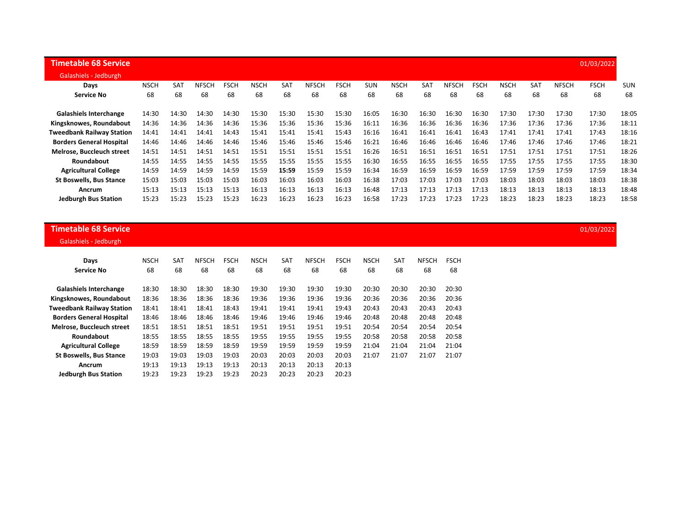| <b>Timetable 68 Service</b>      |             |            |              |             |             |            |              |             |            |             |            |              |             |             |       |              | 01/03/2022  |            |
|----------------------------------|-------------|------------|--------------|-------------|-------------|------------|--------------|-------------|------------|-------------|------------|--------------|-------------|-------------|-------|--------------|-------------|------------|
| Galashiels - Jedburgh            |             |            |              |             |             |            |              |             |            |             |            |              |             |             |       |              |             |            |
| Days                             | <b>NSCH</b> | <b>SAT</b> | <b>NFSCH</b> | <b>FSCH</b> | <b>NSCH</b> | <b>SAT</b> | <b>NFSCH</b> | <b>FSCH</b> | <b>SUN</b> | <b>NSCH</b> | <b>SAT</b> | <b>NFSCH</b> | <b>FSCH</b> | <b>NSCH</b> | SAT   | <b>NFSCH</b> | <b>FSCH</b> | <b>SUN</b> |
| <b>Service No</b>                | 68          | 68         | 68           | 68          | 68          | 68         | 68           | 68          | 68         | 68          | 68         | 68           | 68          | 68          | 68    | 68           | 68          | 68         |
| <b>Galashiels Interchange</b>    | 14:30       | 14:30      | 14:30        | 14:30       | 15:30       | 15:30      | 15:30        | 15:30       | 16:05      | 16:30       | 16:30      | 16:30        | 16:30       | 17:30       | 17:30 | 17:30        | 17:30       | 18:05      |
| Kingsknowes, Roundabout          | 14:36       | 14:36      | 14:36        | 14:36       | 15:36       | 15:36      | 15:36        | 15:36       | 16:11      | 16:36       | 16:36      | 16:36        | 16:36       | 17:36       | 17:36 | 17:36        | 17:36       | 18:11      |
| <b>Tweedbank Railway Station</b> | 14:41       | 14:41      | 14:41        | 14:43       | 15:41       | 15:41      | 15:41        | 15:43       | 16:16      | 16:41       | 16:41      | 16:41        | 16:43       | 17:41       | 17:41 | 17:41        | 17:43       | 18:16      |
| <b>Borders General Hospital</b>  | 14:46       | 14:46      | 14:46        | 14:46       | 15:46       | 15:46      | 15:46        | 15:46       | 16:21      | 16:46       | 16:46      | 16:46        | 16:46       | 17:46       | 17:46 | 17:46        | 17:46       | 18:21      |
| Melrose. Buccleuch street        | 14:51       | 14:51      | 14:51        | 14:51       | 15:51       | 15:51      | 15:51        | 15:51       | 16:26      | 16:51       | 16:51      | 16:51        | 16:51       | 17:51       | 17:51 | 17:51        | 17:51       | 18:26      |
| <b>Roundabout</b>                | 14:55       | 14:55      | 14:55        | 14:55       | 15:55       | 15:55      | 15:55        | 15:55       | 16:30      | 16:55       | 16:55      | 16:55        | 16:55       | 17:55       | 17:55 | 17:55        | 17:55       | 18:30      |
| <b>Agricultural College</b>      | 14:59       | 14:59      | 14:59        | 14:59       | 15:59       | 15:59      | 15:59        | 15:59       | 16:34      | 16:59       | 16:59      | 16:59        | 16:59       | 17:59       | 17:59 | 17:59        | 17:59       | 18:34      |
| <b>St Boswells, Bus Stance</b>   | 15:03       | 15:03      | 15:03        | 15:03       | 16:03       | 16:03      | 16:03        | 16:03       | 16:38      | 17:03       | 17:03      | 17:03        | 17:03       | 18:03       | 18:03 | 18:03        | 18:03       | 18:38      |
| <b>Ancrum</b>                    | 15:13       | 15:13      | 15:13        | 15:13       | 16:13       | 16:13      | 16:13        | 16:13       | 16:48      | 17:13       | 17:13      | 17:13        | 17:13       | 18:13       | 18:13 | 18:13        | 18:13       | 18:48      |
| <b>Jedburgh Bus Station</b>      | 15:23       | 15:23      | 15:23        | 15:23       | 16:23       | 16:23      | 16:23        | 16:23       | 16:58      | 17:23       | 17:23      | 17:23        | 17:23       | 18:23       | 18:23 | 18:23        | 18:23       | 18:58      |

## **Timetable 68 Service** 01/03/2022

Galashiels - Jedburgh

| Days                             | <b>NSCH</b> | SAT   | <b>NFSCH</b> | <b>FSCH</b> | <b>NSCH</b> | SAT   | <b>NFSCH</b> | <b>FSCH</b> | <b>NSCH</b> | <b>SAT</b> | <b>NFSCH</b> | <b>FSCH</b> |
|----------------------------------|-------------|-------|--------------|-------------|-------------|-------|--------------|-------------|-------------|------------|--------------|-------------|
| <b>Service No</b>                | 68          | 68    | 68           | 68          | 68          | 68    | 68           | 68          | 68          | 68         | 68           | 68          |
| <b>Galashiels Interchange</b>    | 18:30       | 18:30 | 18:30        | 18:30       | 19:30       | 19:30 | 19:30        | 19:30       | 20:30       | 20:30      | 20:30        | 20:30       |
| Kingsknowes, Roundabout          | 18:36       | 18:36 | 18:36        | 18:36       | 19:36       | 19:36 | 19:36        | 19:36       | 20:36       | 20:36      | 20:36        | 20:36       |
| <b>Tweedbank Railway Station</b> | 18:41       | 18:41 | 18:41        | 18:43       | 19:41       | 19:41 | 19:41        | 19:43       | 20:43       | 20:43      | 20:43        | 20:43       |
| <b>Borders General Hospital</b>  | 18:46       | 18:46 | 18:46        | 18:46       | 19:46       | 19:46 | 19:46        | 19:46       | 20:48       | 20:48      | 20:48        | 20:48       |
| <b>Melrose. Buccleuch street</b> | 18:51       | 18:51 | 18:51        | 18:51       | 19:51       | 19:51 | 19:51        | 19:51       | 20:54       | 20:54      | 20:54        | 20:54       |
| Roundabout                       | 18:55       | 18:55 | 18:55        | 18:55       | 19:55       | 19:55 | 19:55        | 19:55       | 20:58       | 20:58      | 20:58        | 20:58       |
| <b>Agricultural College</b>      | 18:59       | 18:59 | 18:59        | 18:59       | 19:59       | 19:59 | 19:59        | 19:59       | 21:04       | 21:04      | 21:04        | 21:04       |
| <b>St Boswells, Bus Stance</b>   | 19:03       | 19:03 | 19:03        | 19:03       | 20:03       | 20:03 | 20:03        | 20:03       | 21:07       | 21:07      | 21:07        | 21:07       |
| Ancrum                           | 19:13       | 19:13 | 19:13        | 19:13       | 20:13       | 20:13 | 20:13        | 20:13       |             |            |              |             |
| <b>Jedburgh Bus Station</b>      | 19:23       | 19:23 | 19:23        | 19:23       | 20:23       | 20:23 | 20:23        | 20:23       |             |            |              |             |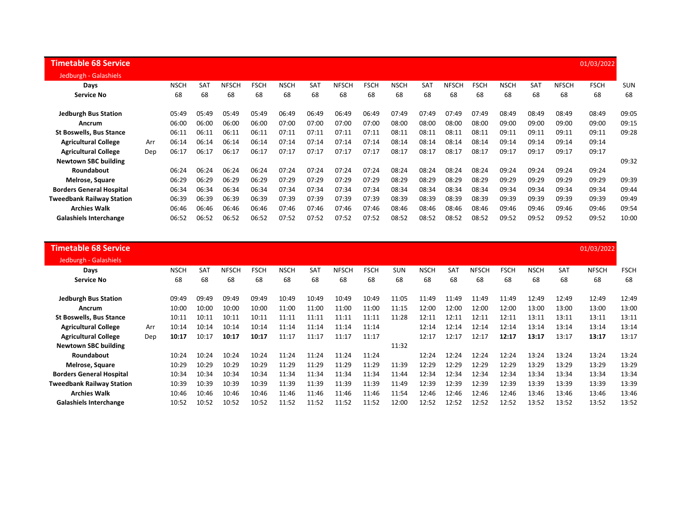| <b>Timetable 68 Service</b>      |     |             |       |              |             |             |       |       |             |             |            |       |             |             |                 |              | 01/03/2022  |            |
|----------------------------------|-----|-------------|-------|--------------|-------------|-------------|-------|-------|-------------|-------------|------------|-------|-------------|-------------|-----------------|--------------|-------------|------------|
| Jedburgh - Galashiels            |     |             |       |              |             |             |       |       |             |             |            |       |             |             |                 |              |             |            |
| Days                             |     | <b>NSCH</b> | SAT   | <b>NFSCH</b> | <b>FSCH</b> | <b>NSCH</b> | SAT   | NFSCH | <b>FSCH</b> | <b>NSCH</b> | <b>SAT</b> | NFSCH | <b>FSCH</b> | <b>NSCH</b> | SA <sub>1</sub> | <b>NFSCH</b> | <b>FSCH</b> | <b>SUN</b> |
| <b>Service No</b>                |     | 68          | 68    | 68           | 68          | 68          | 68    | 68    | 68          | 68          | 68         | 68    | 68          | 68          | 68              | 68           | 68          | 68         |
| <b>Jedburgh Bus Station</b>      |     | 05:49       | 05:49 | 05:49        | 05:49       | 06:49       | 06:49 | 06:49 | 06:49       | 07:49       | 07:49      | 07:49 | 07:49       | 08:49       | 08:49           | 08:49        | 08:49       | 09:05      |
| Ancrum                           |     | 06:00       | 06:00 | 06:00        | 06:00       | 07:00       | 07:00 | 07:00 | 07:00       | 08:00       | 08:00      | 08:00 | 08:00       | 09:00       | 09:00           | 09:00        | 09:00       | 09:15      |
| <b>St Boswells, Bus Stance</b>   |     | 06:11       | 06:11 | 06:11        | 06:11       | 07:11       | 07:11 | 07:11 | 07:11       | 08:11       | 08:11      | 08:11 | 08:11       | 09:11       | 09:11           | 09:11        | 09:11       | 09:28      |
| <b>Agricultural College</b>      | Arr | 06:14       | 06:14 | 06:14        | 06:14       | 07:14       | 07:14 | 07:14 | 07:14       | 08:14       | 08:14      | 08:14 | 08:14       | 09:14       | 09:14           | 09:14        | 09:14       |            |
| <b>Agricultural College</b>      | Dep | 06:17       | 06:17 | 06:17        | 06:17       | 07:17       | 07:17 | 07:17 | 07:17       | 08:17       | 08:17      | 08:17 | 08:17       | 09:17       | 09:17           | 09:17        | 09:17       |            |
| <b>Newtown SBC building</b>      |     |             |       |              |             |             |       |       |             |             |            |       |             |             |                 |              |             | 09:32      |
| Roundabout                       |     | 06:24       | 06:24 | 06:24        | 06:24       | 07:24       | 07:24 | 07:24 | 07:24       | 08:24       | 08:24      | 08:24 | 08:24       | 09:24       | 09:24           | 09:24        | 09:24       |            |
| Melrose, Square                  |     | 06:29       | 06:29 | 06:29        | 06:29       | 07:29       | 07:29 | 07:29 | 07:29       | 08:29       | 08:29      | 08:29 | 08:29       | 09:29       | 09:29           | 09:29        | 09:29       | 09:39      |
| <b>Borders General Hospital</b>  |     | 06:34       | 06:34 | 06:34        | 06:34       | 07:34       | 07:34 | 07:34 | 07:34       | 08:34       | 08:34      | 08:34 | 08:34       | 09:34       | 09:34           | 09:34        | 09:34       | 09:44      |
| <b>Tweedbank Railway Station</b> |     | 06:39       | 06:39 | 06:39        | 06:39       | 07:39       | 07:39 | 07:39 | 07:39       | 08:39       | 08:39      | 08:39 | 08:39       | 09:39       | 09:39           | 09:39        | 09:39       | 09:49      |
| <b>Archies Walk</b>              |     | 06:46       | 06:46 | 06:46        | 06:46       | 07:46       | 07:46 | 07:46 | 07:46       | 08:46       | 08:46      | 08:46 | 08:46       | 09:46       | 09:46           | 09:46        | 09:46       | 09:54      |
| <b>Galashiels Interchange</b>    |     | 06:52       | 06:52 | 06:52        | 06:52       | 07:52       | 07:52 | 07:52 | 07:52       | 08:52       | 08:52      | 08:52 | 08:52       | 09:52       | 09:52           | 09:52        | 09:52       | 10:00      |

| <b>Timetable 68 Service</b>      |     |             |            |              |             |             |       |              |             |            |             |            |              |             |             |            | 01/03/2022   |             |
|----------------------------------|-----|-------------|------------|--------------|-------------|-------------|-------|--------------|-------------|------------|-------------|------------|--------------|-------------|-------------|------------|--------------|-------------|
| Jedburgh - Galashiels            |     |             |            |              |             |             |       |              |             |            |             |            |              |             |             |            |              |             |
| Days                             |     | <b>NSCH</b> | <b>SAT</b> | <b>NFSCH</b> | <b>FSCH</b> | <b>NSCH</b> | SAT   | <b>NFSCH</b> | <b>FSCH</b> | <b>SUN</b> | <b>NSCH</b> | <b>SAT</b> | <b>NFSCH</b> | <b>FSCH</b> | <b>NSCH</b> | <b>SAT</b> | <b>NFSCH</b> | <b>FSCH</b> |
| <b>Service No</b>                |     | 68          | 68         | 68           | 68          | 68          | 68    | 68           | 68          | 68         | 68          | 68         | 68           | 68          | 68          | 68         | 68           | 68          |
| <b>Jedburgh Bus Station</b>      |     | 09:49       | 09:49      | 09:49        | 09:49       | 10:49       | 10:49 | 10:49        | 10:49       | 11:05      | 11:49       | 11:49      | 11:49        | 11:49       | 12:49       | 12:49      | 12:49        | 12:49       |
| Ancrum                           |     | 10:00       | 10:00      | 10:00        | 10:00       | 11:00       | 11:00 | 11:00        | 11:00       | 11:15      | 12:00       | 12:00      | 12:00        | 12:00       | 13:00       | 13:00      | 13:00        | 13:00       |
| <b>St Boswells, Bus Stance</b>   |     | 10:11       | 10:11      | 10:11        | 10:11       | 11:11       | 11:11 | 11:11        | 11:11       | 11:28      | 12:11       | 12:11      | 12:11        | 12:11       | 13:11       | 13:11      | 13:11        | 13:11       |
| <b>Agricultural College</b>      | Arr | 10:14       | 10:14      | 10:14        | 10:14       | 11:14       | 11:14 | 11:14        | 11:14       |            | 12:14       | 12:14      | 12:14        | 12:14       | 13:14       | 13:14      | 13:14        | 13:14       |
| <b>Agricultural College</b>      | Dep | 10:17       | 10:17      | 10:17        | 10:17       | 11:17       | 11:17 | 11:17        | 11:17       |            | 12:17       | 12:17      | 12:17        | 12:17       | 13:17       | 13:17      | 13:17        | 13:17       |
| <b>Newtown SBC building</b>      |     |             |            |              |             |             |       |              |             | 11:32      |             |            |              |             |             |            |              |             |
| <b>Roundabout</b>                |     | 10:24       | 10:24      | 10:24        | 10:24       | 11:24       | 11:24 | 11:24        | 11:24       |            | 12:24       | 12:24      | 12:24        | 12:24       | 13:24       | 13:24      | 13:24        | 13:24       |
| Melrose, Square                  |     | 10:29       | 10:29      | 10:29        | 10:29       | 11:29       | 11:29 | 11:29        | 11:29       | 11:39      | 12:29       | 12:29      | 12:29        | 12:29       | 13:29       | 13:29      | 13:29        | 13:29       |
| <b>Borders General Hospital</b>  |     | 10:34       | 10:34      | 10:34        | 10:34       | 11:34       | 11:34 | 11:34        | 11:34       | 11:44      | 12:34       | 12:34      | 12:34        | 12:34       | 13:34       | 13:34      | 13:34        | 13:34       |
| <b>Tweedbank Railway Station</b> |     | 10:39       | 10:39      | 10:39        | 10:39       | 11:39       | 11:39 | 11:39        | 11:39       | 11:49      | 12:39       | 12:39      | 12:39        | 12:39       | 13:39       | 13:39      | 13:39        | 13:39       |
| <b>Archies Walk</b>              |     | 10:46       | 10:46      | 10:46        | 10:46       | 11:46       | 11:46 | 11:46        | 11:46       | 11:54      | 12:46       | 12:46      | 12:46        | 12:46       | 13:46       | 13:46      | 13:46        | 13:46       |
| <b>Galashiels Interchange</b>    |     | 10:52       | 10:52      | 10:52        | 10:52       | 11:52       | 11:52 | 11:52        | 11:52       | 12:00      | 12:52       | 12:52      | 12:52        | 12:52       | 13:52       | 13:52      | 13:52        | 13:52       |
|                                  |     |             |            |              |             |             |       |              |             |            |             |            |              |             |             |            |              |             |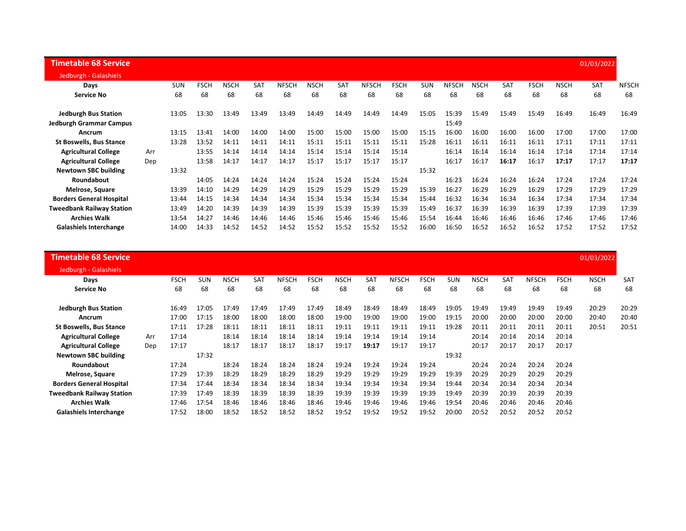| <b>Timetable 68 Service</b>      |     |            |             |             |            |              |             |       |              |             |            |              |             |            |             |             | 01/03/2022 |              |
|----------------------------------|-----|------------|-------------|-------------|------------|--------------|-------------|-------|--------------|-------------|------------|--------------|-------------|------------|-------------|-------------|------------|--------------|
| Jedburgh - Galashiels            |     |            |             |             |            |              |             |       |              |             |            |              |             |            |             |             |            |              |
| Days                             |     | <b>SUN</b> | <b>FSCH</b> | <b>NSCH</b> | <b>SAT</b> | <b>NFSCH</b> | <b>NSCH</b> | SAT   | <b>NFSCH</b> | <b>FSCH</b> | <b>SUN</b> | <b>NFSCH</b> | <b>NSCH</b> | <b>SAT</b> | <b>FSCH</b> | <b>NSCH</b> | SAT        | <b>NFSCH</b> |
| <b>Service No</b>                |     | 68         | 68          | 68          | 68         | 68           | 68          | 68    | 68           | 68          | 68         | 68           | 68          | 68         | 68          | 68          | 68         | 68           |
| <b>Jedburgh Bus Station</b>      |     | 13:05      | 13:30       | 13:49       | 13:49      | 13:49        | 14:49       | 14:49 | 14:49        | 14:49       | 15:05      | 15:39        | 15:49       | 15:49      | 15:49       | 16:49       | 16:49      | 16:49        |
| <b>Jedburgh Grammar Campus</b>   |     |            |             |             |            |              |             |       |              |             |            | 15:49        |             |            |             |             |            |              |
| Ancrum                           |     | 13:15      | 13:41       | 14:00       | 14:00      | 14:00        | 15:00       | 15:00 | 15:00        | 15:00       | 15:15      | 16:00        | 16:00       | 16:00      | 16:00       | 17:00       | 17:00      | 17:00        |
| <b>St Boswells, Bus Stance</b>   |     | 13:28      | 13:52       | 14:11       | 14:11      | 14:11        | 15:11       | 15:11 | 15:11        | 15:11       | 15:28      | 16:11        | 16:11       | 16:11      | 16:11       | 17:11       | 17:11      | 17:11        |
| <b>Agricultural College</b>      | Arr |            | 13:55       | 14:14       | 14:14      | 14:14        | 15:14       | 15:14 | 15:14        | 15:14       |            | 16:14        | 16:14       | 16:14      | 16:14       | 17:14       | 17:14      | 17:14        |
| <b>Agricultural College</b>      | Dep |            | 13:58       | 14:17       | 14:17      | 14:17        | 15:17       | 15:17 | 15:17        | 15:17       |            | 16:17        | 16:17       | 16:17      | 16:17       | 17:17       | 17:17      | 17:17        |
| <b>Newtown SBC building</b>      |     | 13:32      |             |             |            |              |             |       |              |             | 15:32      |              |             |            |             |             |            |              |
| Roundabout                       |     |            | 14:05       | 14:24       | 14:24      | 14:24        | 15:24       | 15:24 | 15:24        | 15:24       |            | 16:23        | 16:24       | 16:24      | 16:24       | 17:24       | 17:24      | 17:24        |
| Melrose, Square                  |     | 13:39      | 14:10       | 14:29       | 14:29      | 14:29        | 15:29       | 15:29 | 15:29        | 15:29       | 15:39      | 16:27        | 16:29       | 16:29      | 16:29       | 17:29       | 17:29      | 17:29        |
| <b>Borders General Hospital</b>  |     | 13:44      | 14:15       | 14:34       | 14:34      | 14:34        | 15:34       | 15:34 | 15:34        | 15:34       | 15:44      | 16:32        | 16:34       | 16:34      | 16:34       | 17:34       | 17:34      | 17:34        |
| <b>Tweedbank Railway Station</b> |     | 13:49      | 14:20       | 14:39       | 14:39      | 14:39        | 15:39       | 15:39 | 15:39        | 15:39       | 15:49      | 16:37        | 16:39       | 16:39      | 16:39       | 17:39       | 17:39      | 17:39        |
| <b>Archies Walk</b>              |     | 13:54      | 14:27       | 14:46       | 14:46      | 14:46        | 15:46       | 15:46 | 15:46        | 15:46       | 15:54      | 16:44        | 16:46       | 16:46      | 16:46       | 17:46       | 17:46      | 17:46        |
| <b>Galashiels Interchange</b>    |     | 14:00      | 14:33       | 14:52       | 14:52      | 14:52        | 15:52       | 15:52 | 15:52        | 15:52       | 16:00      | 16:50        | 16:52       | 16:52      | 16:52       | 17:52       | 17:52      | 17:52        |

| <b>Timetable 68 Service</b>      |     |             |            |             |            |              |             |             |       |              |             |            |             |       |              |             | 01/03/2022  |            |
|----------------------------------|-----|-------------|------------|-------------|------------|--------------|-------------|-------------|-------|--------------|-------------|------------|-------------|-------|--------------|-------------|-------------|------------|
| Jedburgh - Galashiels            |     |             |            |             |            |              |             |             |       |              |             |            |             |       |              |             |             |            |
| Days                             |     | <b>FSCH</b> | <b>SUN</b> | <b>NSCH</b> | <b>SAT</b> | <b>NFSCH</b> | <b>FSCH</b> | <b>NSCH</b> | SAT   | <b>NFSCH</b> | <b>FSCH</b> | <b>SUN</b> | <b>NSCH</b> | SAT   | <b>NFSCH</b> | <b>FSCH</b> | <b>NSCH</b> | <b>SAT</b> |
| <b>Service No</b>                |     | 68          | 68         | 68          | 68         | 68           | 68          | 68          | 68    | 68           | 68          | 68         | 68          | 68    | 68           | 68          | 68          | 68         |
| <b>Jedburgh Bus Station</b>      |     | 16:49       | 17:05      | 17:49       | 17:49      | 17:49        | 17:49       | 18:49       | 18:49 | 18:49        | 18:49       | 19:05      | 19:49       | 19:49 | 19:49        | 19:49       | 20:29       | 20:29      |
| Ancrum                           |     | 17:00       | 17:15      | 18:00       | 18:00      | 18:00        | 18:00       | 19:00       | 19:00 | 19:00        | 19:00       | 19:15      | 20:00       | 20:00 | 20:00        | 20:00       | 20:40       | 20:40      |
| <b>St Boswells, Bus Stance</b>   |     | 17:11       | 17:28      | 18:11       | 18:11      | 18:11        | 18:11       | 19:11       | 19:11 | 19:11        | 19:11       | 19:28      | 20:11       | 20:11 | 20:11        | 20:11       | 20:51       | 20:51      |
| <b>Agricultural College</b>      | Arr | 17:14       |            | 18:14       | 18:14      | 18:14        | 18:14       | 19:14       | 19:14 | 19:14        | 19:14       |            | 20:14       | 20:14 | 20:14        | 20:14       |             |            |
| <b>Agricultural College</b>      | Dep | 17:17       |            | 18:17       | 18:17      | 18:17        | 18:17       | 19:17       | 19:17 | 19:17        | 19:17       |            | 20:17       | 20:17 | 20:17        | 20:17       |             |            |
| <b>Newtown SBC building</b>      |     |             | 17:32      |             |            |              |             |             |       |              |             | 19:32      |             |       |              |             |             |            |
| Roundabout                       |     | 17:24       |            | 18:24       | 18:24      | 18:24        | 18:24       | 19:24       | 19:24 | 19:24        | 19:24       |            | 20:24       | 20:24 | 20:24        | 20:24       |             |            |
| Melrose, Square                  |     | 17:29       | 17:39      | 18:29       | 18:29      | 18:29        | 18:29       | 19:29       | 19:29 | 19:29        | 19:29       | 19:39      | 20:29       | 20:29 | 20:29        | 20:29       |             |            |
| <b>Borders General Hospital</b>  |     | 17:34       | 17:44      | 18:34       | 18:34      | 18:34        | 18:34       | 19:34       | 19:34 | 19:34        | 19:34       | 19:44      | 20:34       | 20:34 | 20:34        | 20:34       |             |            |
| <b>Tweedbank Railway Station</b> |     | 17:39       | 17:49      | 18:39       | 18:39      | 18:39        | 18:39       | 19:39       | 19:39 | 19:39        | 19:39       | 19:49      | 20:39       | 20:39 | 20:39        | 20:39       |             |            |
| <b>Archies Walk</b>              |     | 17:46       | 17:54      | 18:46       | 18:46      | 18:46        | 18:46       | 19:46       | 19:46 | 19:46        | 19:46       | 19:54      | 20:46       | 20:46 | 20:46        | 20:46       |             |            |
| <b>Galashiels Interchange</b>    |     | 17:52       | 18:00      | 18:52       | 18:52      | 18:52        | 18:52       | 19:52       | 19:52 | 19:52        | 19:52       | 20:00      | 20:52       | 20:52 | 20:52        | 20:52       |             |            |